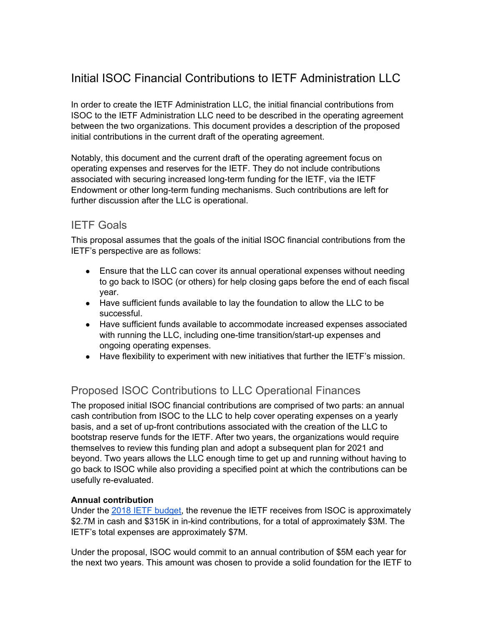# Initial ISOC Financial Contributions to IETF Administration LLC

In order to create the IETF Administration LLC, the initial financial contributions from ISOC to the IETF Administration LLC need to be described in the operating agreement between the two organizations. This document provides a description of the proposed initial contributions in the current draft of the operating agreement.

Notably, this document and the current draft of the operating agreement focus on operating expenses and reserves for the IETF. They do not include contributions associated with securing increased long-term funding for the IETF, via the IETF Endowment or other long-term funding mechanisms. Such contributions are left for further discussion after the LLC is operational.

### IETF Goals

This proposal assumes that the goals of the initial ISOC financial contributions from the IETF's perspective are as follows:

- Ensure that the LLC can cover its annual operational expenses without needing to go back to ISOC (or others) for help closing gaps before the end of each fiscal year.
- Have sufficient funds available to lay the foundation to allow the LLC to be successful.
- Have sufficient funds available to accommodate increased expenses associated with running the LLC, including one-time transition/start-up expenses and ongoing operating expenses.
- Have flexibility to experiment with new initiatives that further the IETF's mission.

## Proposed ISOC Contributions to LLC Operational Finances

The proposed initial ISOC financial contributions are comprised of two parts: an annual cash contribution from ISOC to the LLC to help cover operating expenses on a yearly basis, and a set of up-front contributions associated with the creation of the LLC to bootstrap reserve funds for the IETF. After two years, the organizations would require themselves to review this funding plan and adopt a subsequent plan for 2021 and beyond. Two years allows the LLC enough time to get up and running without having to go back to ISOC while also providing a specified point at which the contributions can be usefully re-evaluated.

### **Annual contribution**

Under the 2018 IETF [budget,](https://iaoc.ietf.org/documents/2018Budget.pdf) the revenue the IETF receives from ISOC is approximately \$2.7M in cash and \$315K in in-kind contributions, for a total of approximately \$3M. The IETF's total expenses are approximately \$7M.

Under the proposal, ISOC would commit to an annual contribution of \$5M each year for the next two years. This amount was chosen to provide a solid foundation for the IETF to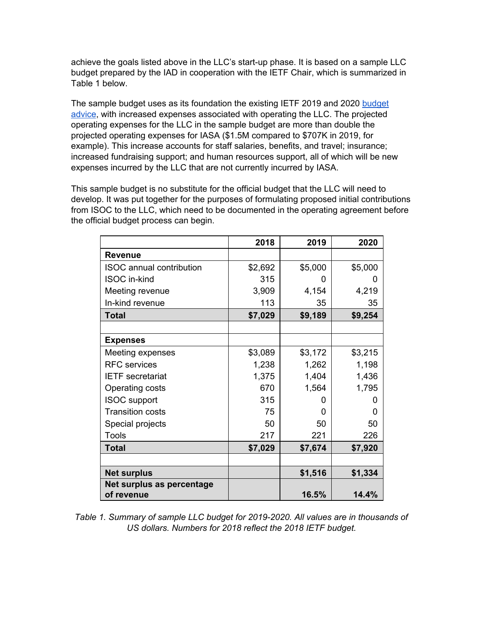achieve the goals listed above in the LLC's start-up phase. It is based on a sample LLC budget prepared by the IAD in cooperation with the IETF Chair, which is summarized in Table 1 below.

The sample [budget](https://iaoc.ietf.org/documents/2018Budget.pdf) uses as its foundation the existing IETF 2019 and 2020 budget [advice,](https://iaoc.ietf.org/documents/2018Budget.pdf) with increased expenses associated with operating the LLC. The projected operating expenses for the LLC in the sample budget are more than double the projected operating expenses for IASA (\$1.5M compared to \$707K in 2019, for example). This increase accounts for staff salaries, benefits, and travel; insurance; increased fundraising support; and human resources support, all of which will be new expenses incurred by the LLC that are not currently incurred by IASA.

This sample budget is no substitute for the official budget that the LLC will need to develop. It was put together for the purposes of formulating proposed initial contributions from ISOC to the LLC, which need to be documented in the operating agreement before the official budget process can begin.

|                                         | 2018    | 2019    | 2020    |
|-----------------------------------------|---------|---------|---------|
| <b>Revenue</b>                          |         |         |         |
| <b>ISOC</b> annual contribution         | \$2,692 | \$5,000 | \$5,000 |
| ISOC in-kind                            | 315     | O       | O       |
| Meeting revenue                         | 3,909   | 4,154   | 4,219   |
| In-kind revenue                         | 113     | 35      | 35      |
| <b>Total</b>                            | \$7,029 | \$9,189 | \$9,254 |
|                                         |         |         |         |
| <b>Expenses</b>                         |         |         |         |
| Meeting expenses                        | \$3,089 | \$3,172 | \$3,215 |
| <b>RFC</b> services                     | 1,238   | 1,262   | 1,198   |
| <b>IETF</b> secretariat                 | 1,375   | 1,404   | 1,436   |
| Operating costs                         | 670     | 1,564   | 1,795   |
| <b>ISOC</b> support                     | 315     | O       | O       |
| <b>Transition costs</b>                 | 75      | O       | 0       |
| Special projects                        | 50      | 50      | 50      |
| <b>Tools</b>                            | 217     | 221     | 226     |
| <b>Total</b>                            | \$7,029 | \$7,674 | \$7,920 |
|                                         |         |         |         |
| <b>Net surplus</b>                      |         | \$1,516 | \$1,334 |
| Net surplus as percentage<br>of revenue |         | 16.5%   | 14.4%   |

*Table 1. Summary of sample LLC budget for 2019-2020. All values are in thousands of US dollars. Numbers for 2018 reflect the 2018 IETF budget.*